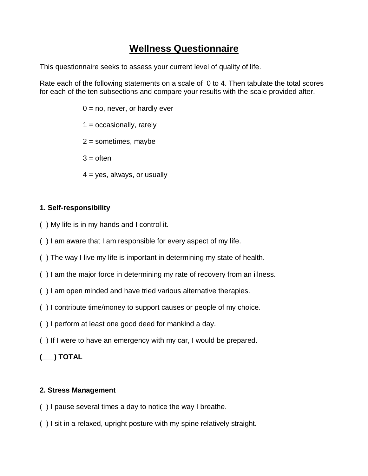# **Wellness Questionnaire**

This questionnaire seeks to assess your current level of quality of life.

Rate each of the following statements on a scale of 0 to 4. Then tabulate the total scores for each of the ten subsections and compare your results with the scale provided after.

> $0 = no$ , never, or hardly ever  $1 =$  occasionally, rarely  $2 =$  sometimes, maybe  $3 =$  often  $4 = yes$ , always, or usually

### **1. Self-responsibility**

- ( ) My life is in my hands and I control it.
- ( ) I am aware that I am responsible for every aspect of my life.
- ( ) The way I live my life is important in determining my state of health.
- ( ) I am the major force in determining my rate of recovery from an illness.
- ( ) I am open minded and have tried various alternative therapies.
- ( ) I contribute time/money to support causes or people of my choice.
- ( ) I perform at least one good deed for mankind a day.
- ( ) If I were to have an emergency with my car, I would be prepared.
- **(\_\_\_) TOTAL**

#### **2. Stress Management**

- ( ) I pause several times a day to notice the way I breathe.
- ( ) I sit in a relaxed, upright posture with my spine relatively straight.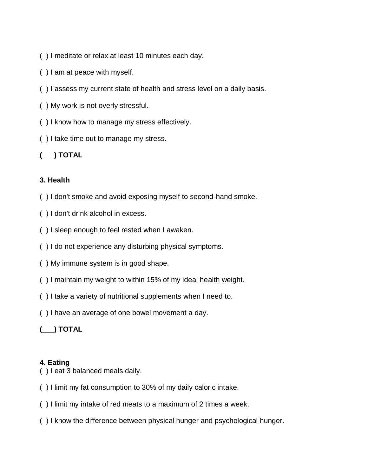- ( ) I meditate or relax at least 10 minutes each day.
- ( ) I am at peace with myself.
- ( ) I assess my current state of health and stress level on a daily basis.
- ( ) My work is not overly stressful.
- ( ) I know how to manage my stress effectively.
- ( ) I take time out to manage my stress.

## **(\_\_\_) TOTAL**

#### **3. Health**

- ( ) I don't smoke and avoid exposing myself to second-hand smoke.
- ( ) I don't drink alcohol in excess.
- ( ) I sleep enough to feel rested when I awaken.
- ( ) I do not experience any disturbing physical symptoms.
- ( ) My immune system is in good shape.
- ( ) I maintain my weight to within 15% of my ideal health weight.
- ( ) I take a variety of nutritional supplements when I need to.
- ( ) I have an average of one bowel movement a day.

# **(\_\_\_) TOTAL**

### **4. Eating**

- ( ) I eat 3 balanced meals daily.
- ( ) I limit my fat consumption to 30% of my daily caloric intake.
- ( ) I limit my intake of red meats to a maximum of 2 times a week.
- ( ) I know the difference between physical hunger and psychological hunger.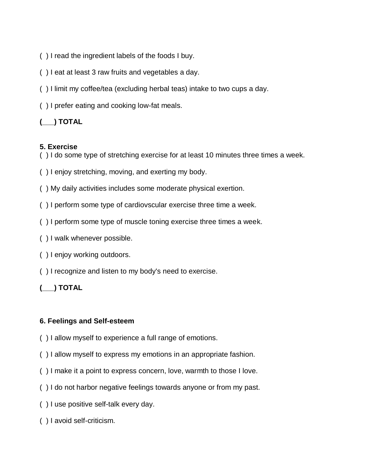- ( ) I read the ingredient labels of the foods I buy.
- ( ) I eat at least 3 raw fruits and vegetables a day.
- ( ) I limit my coffee/tea (excluding herbal teas) intake to two cups a day.
- ( ) I prefer eating and cooking low-fat meals.

### **(\_\_\_) TOTAL**

#### **5. Exercise**

- ( ) I do some type of stretching exercise for at least 10 minutes three times a week.
- ( ) I enjoy stretching, moving, and exerting my body.
- ( ) My daily activities includes some moderate physical exertion.
- ( ) I perform some type of cardiovscular exercise three time a week.
- ( ) I perform some type of muscle toning exercise three times a week.
- ( ) I walk whenever possible.
- ( ) I enjoy working outdoors.
- ( ) I recognize and listen to my body's need to exercise.

### **(\_\_\_) TOTAL**

#### **6. Feelings and Self-esteem**

- ( ) I allow myself to experience a full range of emotions.
- ( ) I allow myself to express my emotions in an appropriate fashion.
- ( ) I make it a point to express concern, love, warmth to those I love.
- ( ) I do not harbor negative feelings towards anyone or from my past.
- ( ) I use positive self-talk every day.
- ( ) I avoid self-criticism.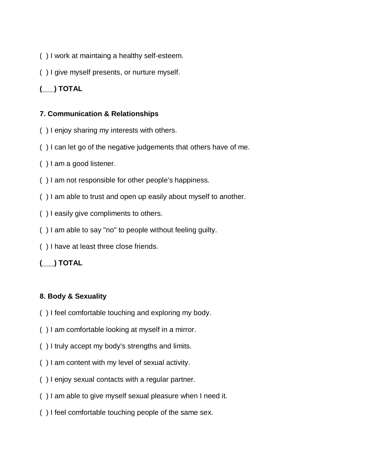- ( ) I work at maintaing a healthy self-esteem.
- ( ) I give myself presents, or nurture myself.

# **(\_\_\_) TOTAL**

#### **7. Communication & Relationships**

- ( ) I enjoy sharing my interests with others.
- ( ) I can let go of the negative judgements that others have of me.
- ( ) I am a good listener.
- ( ) I am not responsible for other people's happiness.
- ( ) I am able to trust and open up easily about myself to another.
- ( ) I easily give compliments to others.
- ( ) I am able to say "no" to people without feeling guilty.
- ( ) I have at least three close friends.

### **(\_\_\_) TOTAL**

### **8. Body & Sexuality**

- ( ) I feel comfortable touching and exploring my body.
- ( ) I am comfortable looking at myself in a mirror.
- ( ) I truly accept my body's strengths and limits.
- ( ) I am content with my level of sexual activity.
- ( ) I enjoy sexual contacts with a regular partner.
- ( ) I am able to give myself sexual pleasure when I need it.
- ( ) I feel comfortable touching people of the same sex.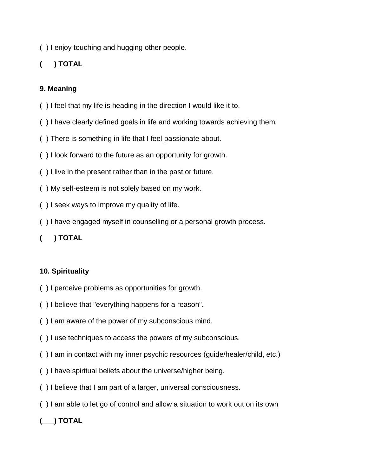( ) I enjoy touching and hugging other people.

### **(\_\_\_) TOTAL**

#### **9. Meaning**

- ( ) I feel that my life is heading in the direction I would like it to.
- ( ) I have clearly defined goals in life and working towards achieving them.
- ( ) There is something in life that I feel passionate about.
- ( ) I look forward to the future as an opportunity for growth.
- ( ) I live in the present rather than in the past or future.
- ( ) My self-esteem is not solely based on my work.
- ( ) I seek ways to improve my quality of life.
- ( ) I have engaged myself in counselling or a personal growth process.

## **(\_\_\_) TOTAL**

#### **10. Spirituality**

- ( ) I perceive problems as opportunities for growth.
- ( ) I believe that "everything happens for a reason".
- ( ) I am aware of the power of my subconscious mind.
- ( ) I use techniques to access the powers of my subconscious.
- ( ) I am in contact with my inner psychic resources (guide/healer/child, etc.)
- ( ) I have spiritual beliefs about the universe/higher being.
- ( ) I believe that I am part of a larger, universal consciousness.
- ( ) I am able to let go of control and allow a situation to work out on its own

### **(\_\_\_) TOTAL**